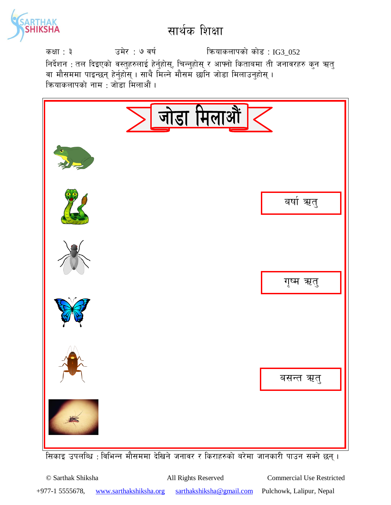

sIff : # pd]/ : & jif{ lqmofsnfksf] sf]8 : IG3\_052 निर्देशन : तल दिइएको वस्तुहरुलाई हेर्नुहोस्, चिन्नुहोस् र आफ्नो किताबमा ती जनावरहरु कुन ऋतु वा मौसममा पाइन्छन् हेर्नुहोस् । साथै मिल्ने मौसम छानि जोडा मिलाउन्**होस्** । क्रियाकलापको नाम $\,$ : जोड़ा मिलाऔं ।



<u>सिकाइ उपलब्धि : विभिन्न मौसममा देखिने जनावर र किराहरुको बरेमा जानकारी पाउन सक्ने छन् ।</u>

© Sarthak Shiksha All Rights Reserved Commercial Use Restricted +977-1 5555678, www.sarthakshiksha.org sarthakshiksha@gmail.com Pulchowk, Lalipur, Nepal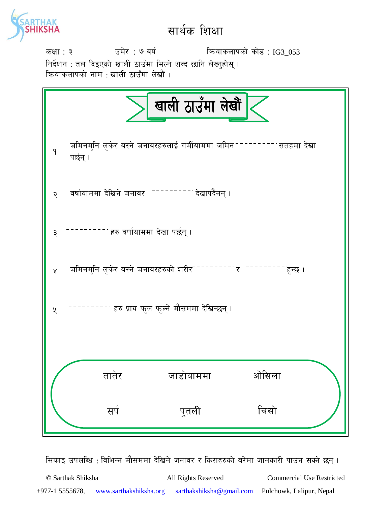

sIff : # pd]/ : & jif{ lqmofsnfksf] sf]8 : IG3\_053 निर्देशन : तल दिइएको खाली ठाउँमा मिल्ने शब्द छानि लेख्नुहोस् ।

क्रियाकलापको नाम : खाली ठाउँमा लेखौ<mark>ं</mark> ।

|                                                   |                                                                            | खाली ठाउँमा लेखौं   |                   |  |  |
|---------------------------------------------------|----------------------------------------------------------------------------|---------------------|-------------------|--|--|
| $\mathsf{P}$                                      | जमिनमुनि लुकेर बस्ने जनावरहरुलाई गर्मीयाममा जमिन <sup>--</sup><br>पर्छन् । |                     | ------ सतहमा देखा |  |  |
| २                                                 | वर्षायाममा देखिने जनावर --------- देखापर्दैनन् ।                           |                     |                   |  |  |
| ३                                                 | <sup>- -</sup> हरु वर्षायाममा देखा पर्छन् ।                                |                     |                   |  |  |
| $\propto$                                         | जमिनमुनि लुकेर बस्ने जनावरहरुको शरीर <sup>---</sup>                        | <sup>------</sup> र | हुन्छ ।           |  |  |
| हरु प्राय फुल फुल्ने मौसममा देखिन्छन् ।<br>$\chi$ |                                                                            |                     |                   |  |  |
|                                                   |                                                                            |                     |                   |  |  |
|                                                   | तातर                                                                       | जाडोयाममा           | ओसिला             |  |  |
|                                                   | सर्प                                                                       | पुतली               | चिसो              |  |  |

सिकाइ उपलब्धि : विभिन्न मौसममा देखिने जनावर र किराहरुको बरेमा जानकारी पाउन सक्ने छन् ।

© Sarthak Shiksha All Rights Reserved Commercial Use Restricted +977-1 5555678, www.sarthakshiksha.org sarthakshiksha@gmail.com Pulchowk, Lalipur, Nepal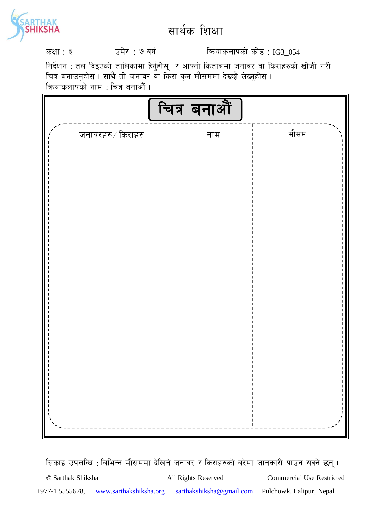

sIff : # pd]/ : & jif{ lqmofsnfksf] sf]8 : IG3\_054

निर्देशन : तल दिइएको तालिकामा हेर्नुहोस् र आफ्नो किताबमा जनावर वा किराहरुको खोजी गरी चित्र बनाउनुहोस् । साथै ती जनावर वा किरा कुन मौसममा देख्छौ लेख्नुहोस् । कियाकलापको नाम : चित्र बनाऔं ।

|                           | चित्र बनाऔं |      |
|---------------------------|-------------|------|
| जनावरहरु $\times$ किराहरु | नाम         | मौसम |
|                           |             |      |
|                           |             |      |
|                           |             |      |
|                           |             |      |
|                           |             |      |
|                           |             |      |
|                           |             |      |
|                           |             |      |
|                           |             |      |
|                           |             |      |
|                           |             |      |
|                           |             |      |
|                           |             |      |

सिकाइ उपलब्धि : विभिन्न मौसममा देखिने जनावर र किराहरुको बरेमा जानकारी पाउन सक्ने छन् ।

© Sarthak Shiksha All Rights Reserved Commercial Use Restricted +977-1 5555678, www.sarthakshiksha.org sarthakshiksha@gmail.com Pulchowk, Lalipur, Nepal